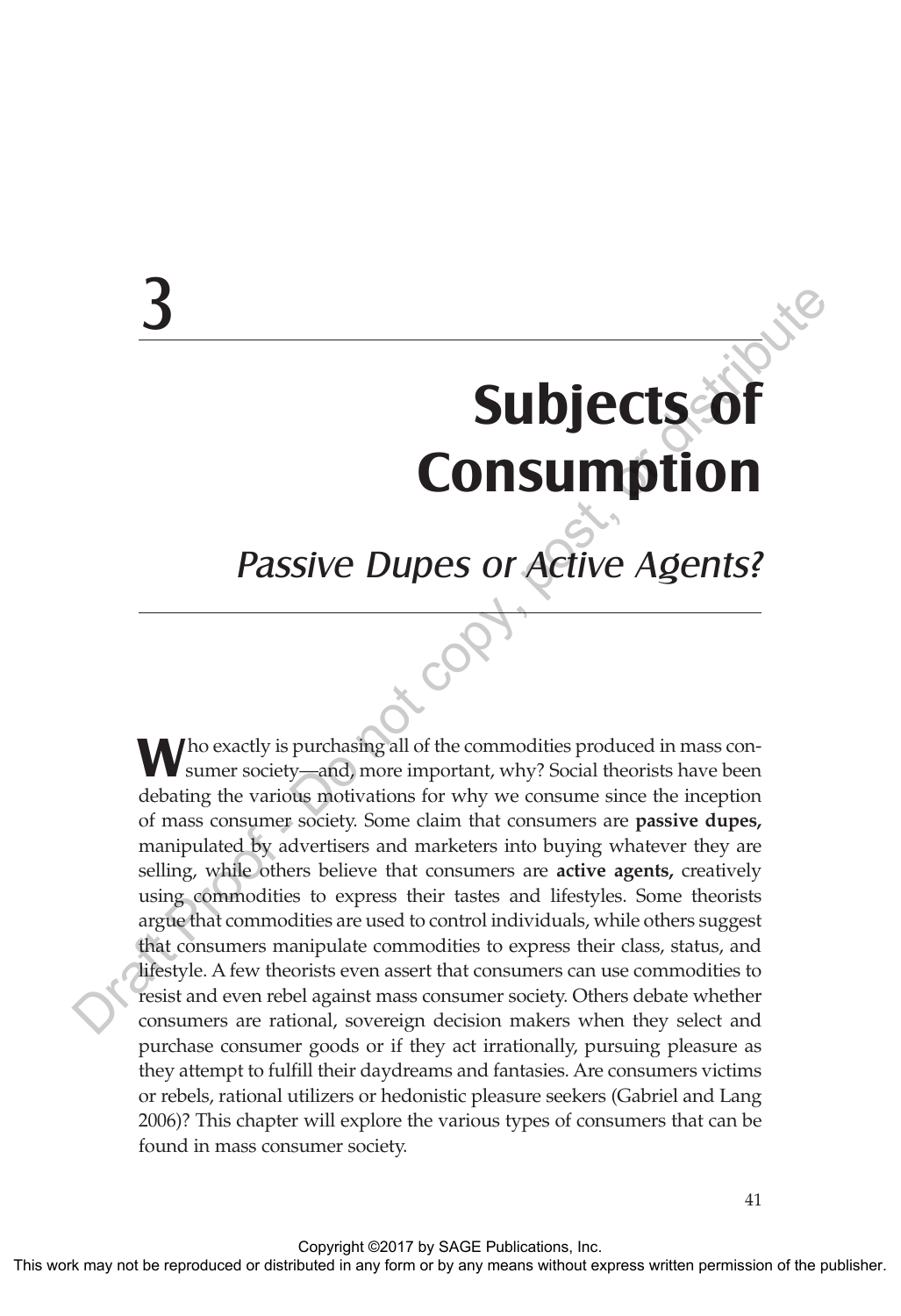# **Subjects of Consumption**

# Passive Dupes or Active Agents?

**W**ho exactly is purchasing all of the commodities produced in mass consumer society—and, more important, why? Social theorists have been debating the various motivations for why we consume since the inception of mass consumer society. Some claim that consumers are **passive dupes,** manipulated by advertisers and marketers into buying whatever they are selling, while others believe that consumers are **active agents,** creatively using commodities to express their tastes and lifestyles. Some theorists argue that commodities are used to control individuals, while others suggest that consumers manipulate commodities to express their class, status, and lifestyle. A few theorists even assert that consumers can use commodities to resist and even rebel against mass consumer society. Others debate whether consumers are rational, sovereign decision makers when they select and purchase consumer goods or if they act irrationally, pursuing pleasure as they attempt to fulfill their daydreams and fantasies. Are consumers victims or rebels, rational utilizers or hedonistic pleasure seekers (Gabriel and Lang 2006)? This chapter will explore the various types of consumers that can be found in mass consumer society. **Summary and the commutation of the reproduced in mass con-**<br> **Million CONSUMPSEC SCS**<br>
Willion counter society and the commutation produced in mass con-<br>
dealing, the various particular and the commutation of mass comput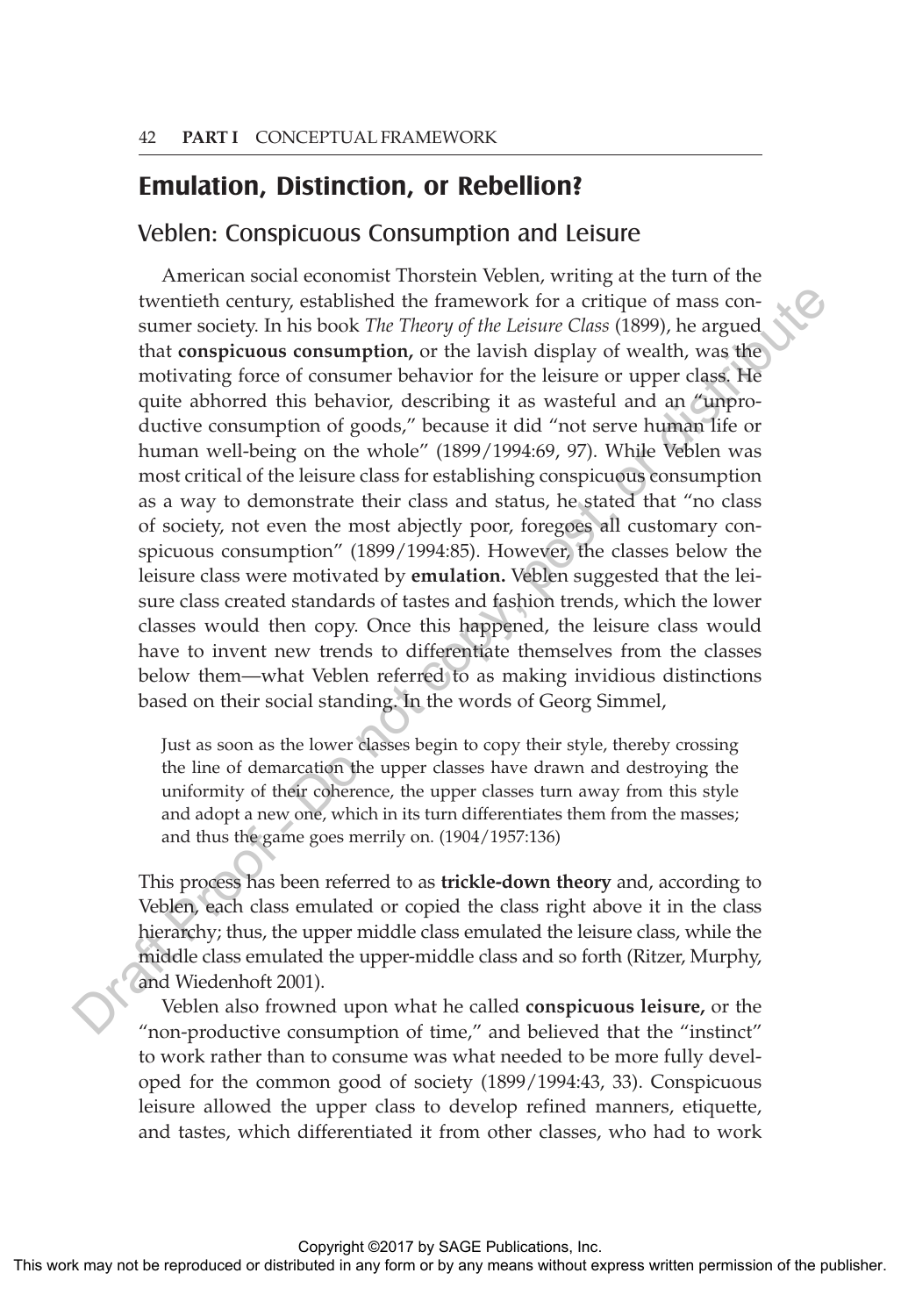## **Emulation, Distinction, or Rebellion?**

#### Veblen: Conspicuous Consumption and Leisure

American social economist Thorstein Veblen, writing at the turn of the twentieth century, established the framework for a critique of mass consumer society. In his book *The Theory of the Leisure Class* (1899), he argued that **conspicuous consumption,** or the lavish display of wealth, was the motivating force of consumer behavior for the leisure or upper class. He quite abhorred this behavior, describing it as wasteful and an "unproductive consumption of goods," because it did "not serve human life or human well-being on the whole" (1899/1994:69, 97). While Veblen was most critical of the leisure class for establishing conspicuous consumption as a way to demonstrate their class and status, he stated that "no class of society, not even the most abjectly poor, foregoes all customary conspicuous consumption" (1899/1994:85). However, the classes below the leisure class were motivated by **emulation.** Veblen suggested that the leisure class created standards of tastes and fashion trends, which the lower classes would then copy. Once this happened, the leisure class would have to invent new trends to differentiate themselves from the classes below them—what Veblen referred to as making invidious distinctions based on their social standing. In the words of Georg Simmel, Is used of the representation or the kivish distributed or the reproduced or distributed or distributed in any form or the broad state of the broad state of the broad state of the broad state of the broad state above of t

Just as soon as the lower classes begin to copy their style, thereby crossing the line of demarcation the upper classes have drawn and destroying the uniformity of their coherence, the upper classes turn away from this style and adopt a new one, which in its turn differentiates them from the masses; and thus the game goes merrily on. (1904/1957:136)

This process has been referred to as **trickle-down theory** and, according to Veblen, each class emulated or copied the class right above it in the class hierarchy; thus, the upper middle class emulated the leisure class, while the middle class emulated the upper-middle class and so forth (Ritzer, Murphy, and Wiedenhoft 2001).

Veblen also frowned upon what he called **conspicuous leisure,** or the "non-productive consumption of time," and believed that the "instinct" to work rather than to consume was what needed to be more fully developed for the common good of society (1899/1994:43, 33). Conspicuous leisure allowed the upper class to develop refined manners, etiquette, and tastes, which differentiated it from other classes, who had to work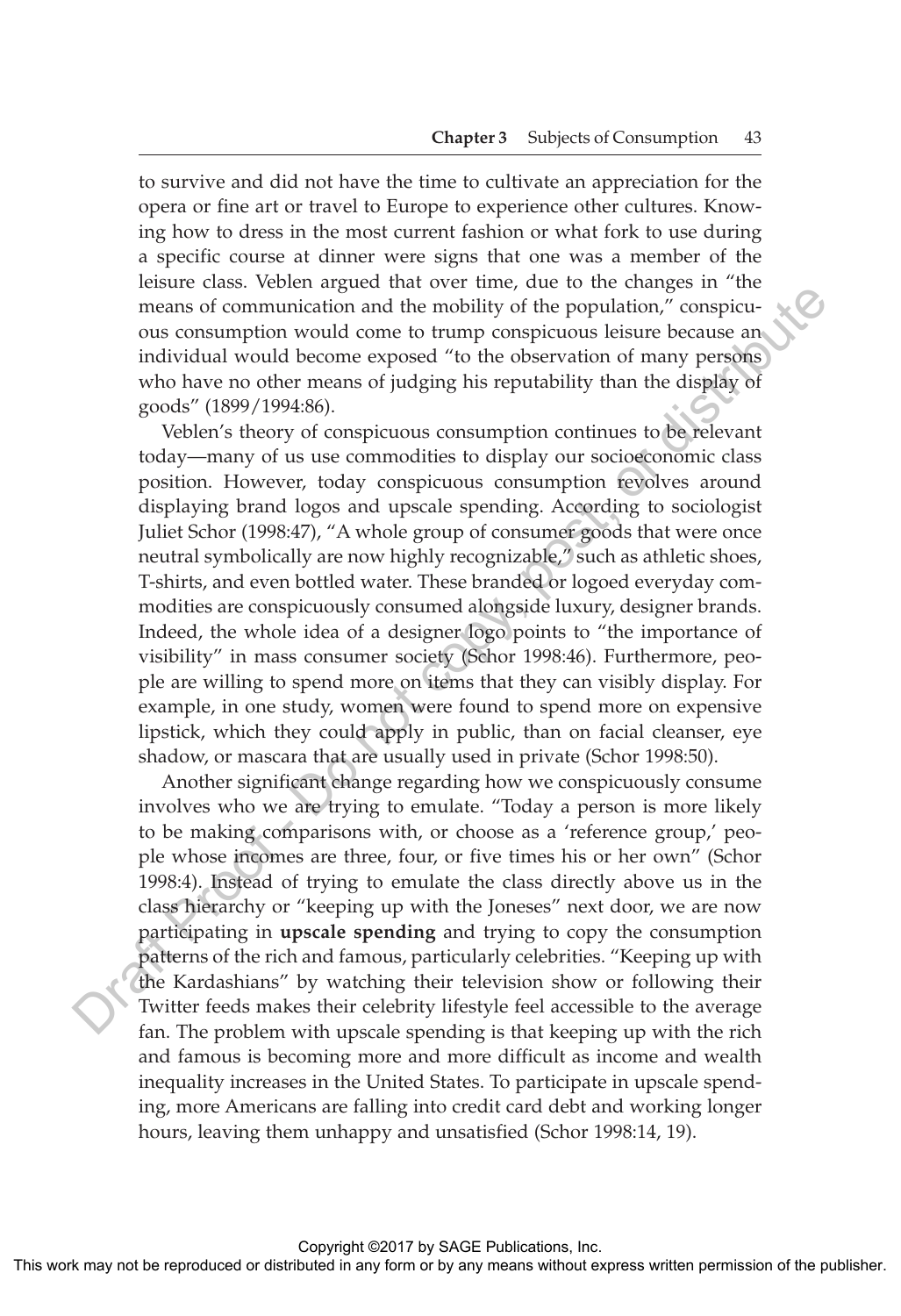to survive and did not have the time to cultivate an appreciation for the opera or fine art or travel to Europe to experience other cultures. Knowing how to dress in the most current fashion or what fork to use during a specific course at dinner were signs that one was a member of the leisure class. Veblen argued that over time, due to the changes in "the means of communication and the mobility of the population," conspicuous consumption would come to trump conspicuous leisure because an individual would become exposed "to the observation of many persons who have no other means of judging his reputability than the display of goods" (1899/1994:86).

Veblen's theory of conspicuous consumption continues to be relevant today—many of us use commodities to display our socioeconomic class position. However, today conspicuous consumption revolves around displaying brand logos and upscale spending. According to sociologist Juliet Schor (1998:47), "A whole group of consumer goods that were once neutral symbolically are now highly recognizable," such as athletic shoes, T-shirts, and even bottled water. These branded or logoed everyday commodities are conspicuously consumed alongside luxury, designer brands. Indeed, the whole idea of a designer logo points to "the importance of visibility" in mass consumer society (Schor 1998:46). Furthermore, people are willing to spend more on items that they can visibly display. For example, in one study, women were found to spend more on expensive lipstick, which they could apply in public, than on facial cleanser, eye shadow, or mascara that are usually used in private (Schor 1998:50).

Another significant change regarding how we conspicuously consume involves who we are trying to emulate. "Today a person is more likely to be making comparisons with, or choose as a 'reference group,' people whose incomes are three, four, or five times his or her own" (Schor 1998:4). Instead of trying to emulate the class directly above us in the class hierarchy or "keeping up with the Joneses" next door, we are now participating in **upscale spending** and trying to copy the consumption patterns of the rich and famous, particularly celebrities. "Keeping up with the Kardashians" by watching their television show or following their Twitter feeds makes their celebrity lifestyle feel accessible to the average fan. The problem with upscale spending is that keeping up with the rich and famous is becoming more and more difficult as income and wealth inequality increases in the United States. To participate in upscale spending, more Americans are falling into credit card debt and working longer hours, leaving them unhappy and unsatisfied (Schor 1998:14, 19). The rest of the reproduced or distributed or distributed in any form or between the transmission of the publisher state of the publisher and the publisher of the publisher of the publisher and the publisher and the publis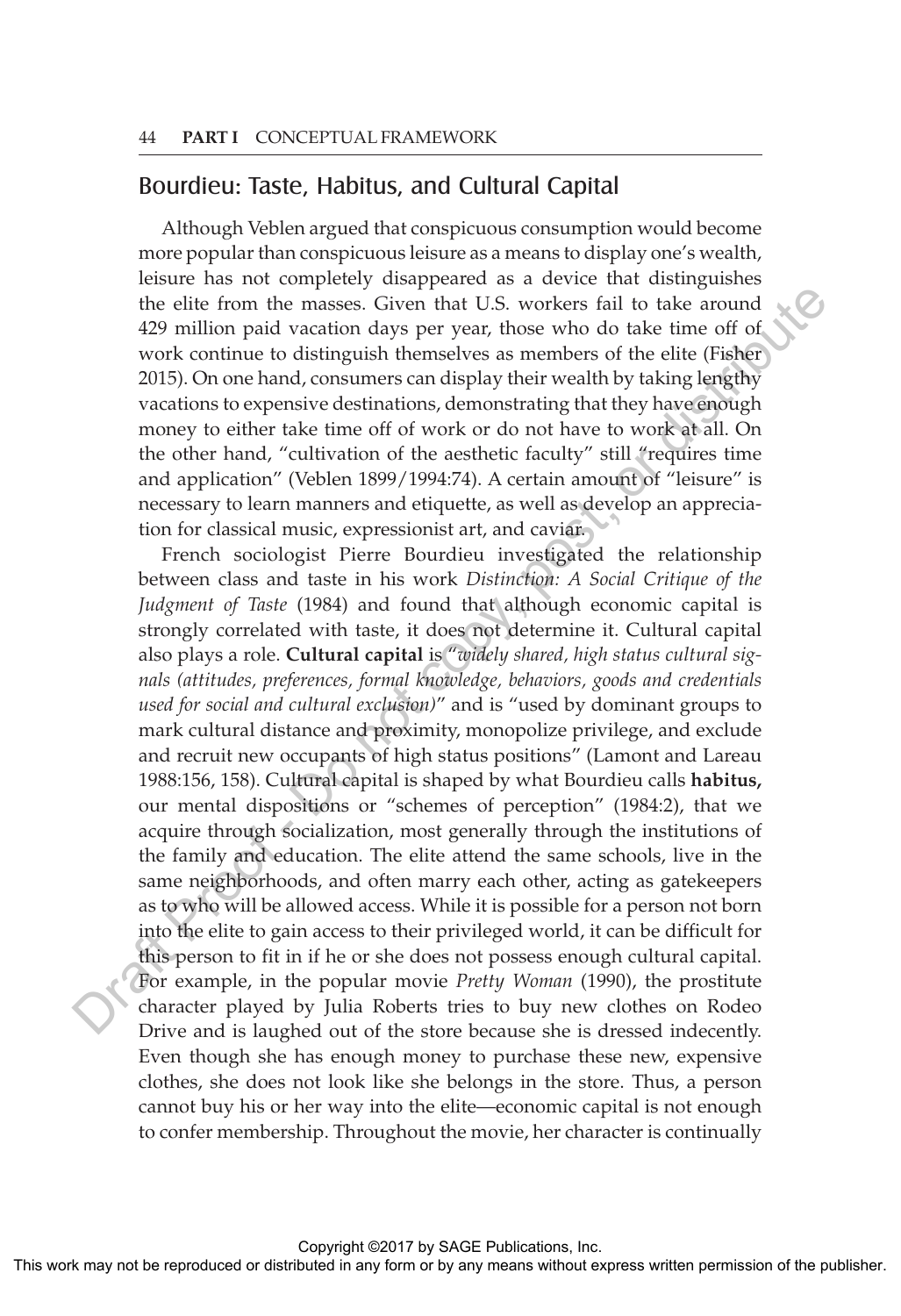### Bourdieu: Taste, Habitus, and Cultural Capital

Although Veblen argued that conspicuous consumption would become more popular than conspicuous leisure as a means to display one's wealth, leisure has not completely disappeared as a device that distinguishes the elite from the masses. Given that U.S. workers fail to take around 429 million paid vacation days per year, those who do take time off of work continue to distinguish themselves as members of the elite (Fisher 2015). On one hand, consumers can display their wealth by taking lengthy vacations to expensive destinations, demonstrating that they have enough money to either take time off of work or do not have to work at all. On the other hand, "cultivation of the aesthetic faculty" still "requires time and application" (Veblen 1899/1994:74). A certain amount of "leisure" is necessary to learn manners and etiquette, as well as develop an appreciation for classical music, expressionist art, and caviar.

French sociologist Pierre Bourdieu investigated the relationship between class and taste in his work *Distinction: A Social Critique of the Judgment of Taste* (1984) and found that although economic capital is strongly correlated with taste, it does not determine it. Cultural capital also plays a role. **Cultural capital** is "*widely shared, high status cultural signals (attitudes, preferences, formal knowledge, behaviors, goods and credentials used for social and cultural exclusion)*" and is "used by dominant groups to mark cultural distance and proximity, monopolize privilege, and exclude and recruit new occupants of high status positions" (Lamont and Lareau 1988:156, 158). Cultural capital is shaped by what Bourdieu calls **habitus,** our mental dispositions or "schemes of perception" (1984:2), that we acquire through socialization, most generally through the institutions of the family and education. The elite attend the same schools, live in the same neighborhoods, and often marry each other, acting as gatekeepers as to who will be allowed access. While it is possible for a person not born into the elite to gain access to their privileged world, it can be difficult for this person to fit in if he or she does not possess enough cultural capital. For example, in the popular movie *Pretty Woman* (1990), the prostitute character played by Julia Roberts tries to buy new clothes on Rodeo Drive and is laughed out of the store because she is dressed indecently. Even though she has enough money to purchase these new, expensive clothes, she does not look like she belongs in the store. Thus, a person cannot buy his or her way into the elite—economic capital is not enough to confer membership. Throughout the movie, her character is continually the clier from the masses Given that U.S. workes foil to take anomal system or distributed or distributed in a distributed in any term or distributed in any means of the elitre (FightY) variables to any means we are the p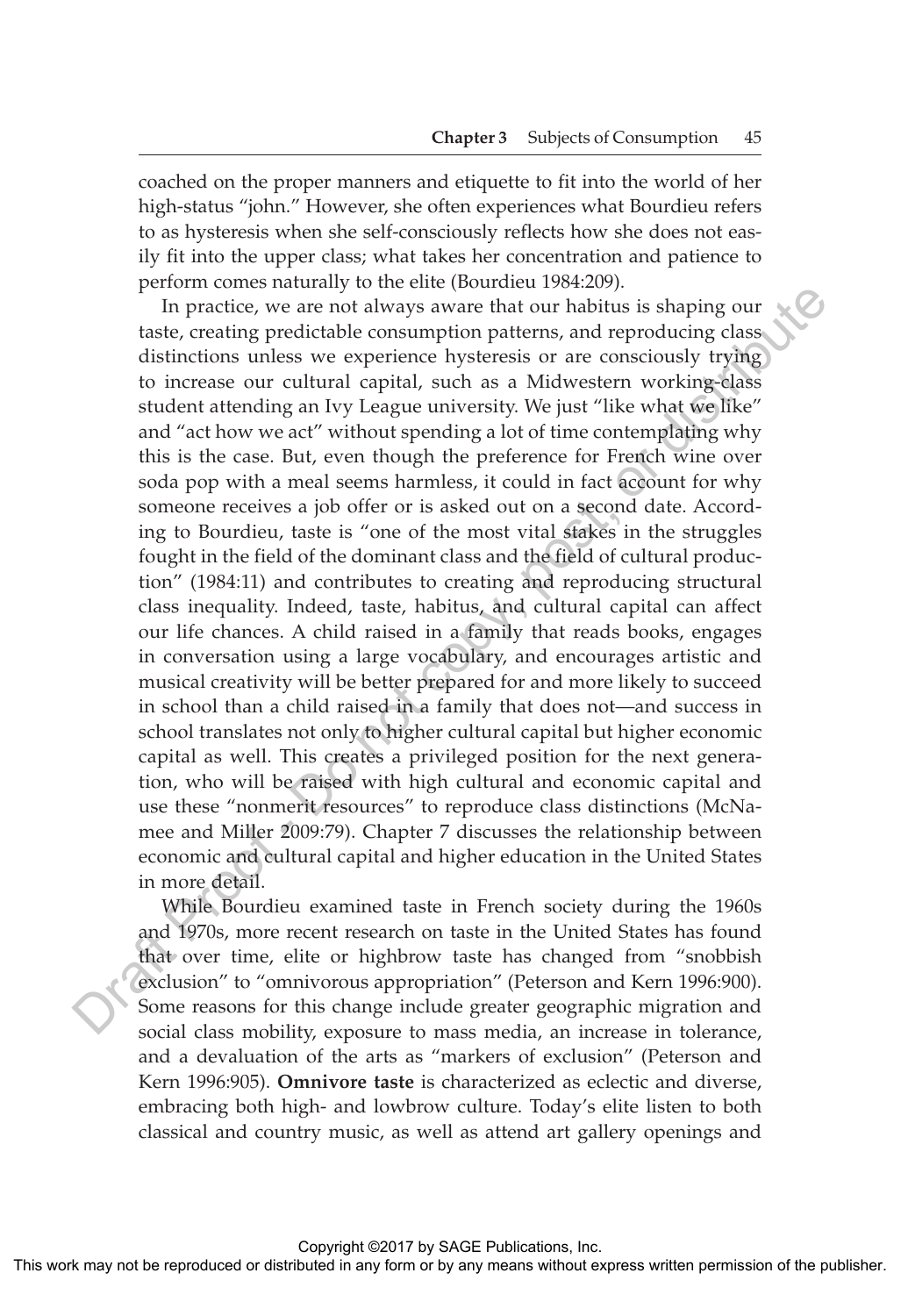coached on the proper manners and etiquette to fit into the world of her high-status "john." However, she often experiences what Bourdieu refers to as hysteresis when she self-consciously reflects how she does not easily fit into the upper class; what takes her concentration and patience to perform comes naturally to the elite (Bourdieu 1984:209).

In practice, we are not always aware that our habitus is shaping our taste, creating predictable consumption patterns, and reproducing class distinctions unless we experience hysteresis or are consciously trying to increase our cultural capital, such as a Midwestern working-class student attending an Ivy League university. We just "like what we like" and "act how we act" without spending a lot of time contemplating why this is the case. But, even though the preference for French wine over soda pop with a meal seems harmless, it could in fact account for why someone receives a job offer or is asked out on a second date. According to Bourdieu, taste is "one of the most vital stakes in the struggles fought in the field of the dominant class and the field of cultural production" (1984:11) and contributes to creating and reproducing structural class inequality. Indeed, taste, habitus, and cultural capital can affect our life chances. A child raised in a family that reads books, engages in conversation using a large vocabulary, and encourages artistic and musical creativity will be better prepared for and more likely to succeed in school than a child raised in a family that does not—and success in school translates not only to higher cultural capital but higher economic capital as well. This creates a privileged position for the next generation, who will be raised with high cultural and economic capital and use these "nonmerit resources" to reproduce class distinctions (McNamee and Miller 2009:79). Chapter 7 discusses the relationship between economic and cultural capital and higher education in the United States in more detail. Fin protice, we are not always aware that our habitus is shaping out<br>the reatring predictable comuniprion parterns, and reproducing class<br>distributions under the publishers are considered in any form or by any two means w

While Bourdieu examined taste in French society during the 1960s and 1970s, more recent research on taste in the United States has found that over time, elite or highbrow taste has changed from "snobbish exclusion" to "omnivorous appropriation" (Peterson and Kern 1996:900). Some reasons for this change include greater geographic migration and social class mobility, exposure to mass media, an increase in tolerance, and a devaluation of the arts as "markers of exclusion" (Peterson and Kern 1996:905). **Omnivore taste** is characterized as eclectic and diverse, embracing both high- and lowbrow culture. Today's elite listen to both classical and country music, as well as attend art gallery openings and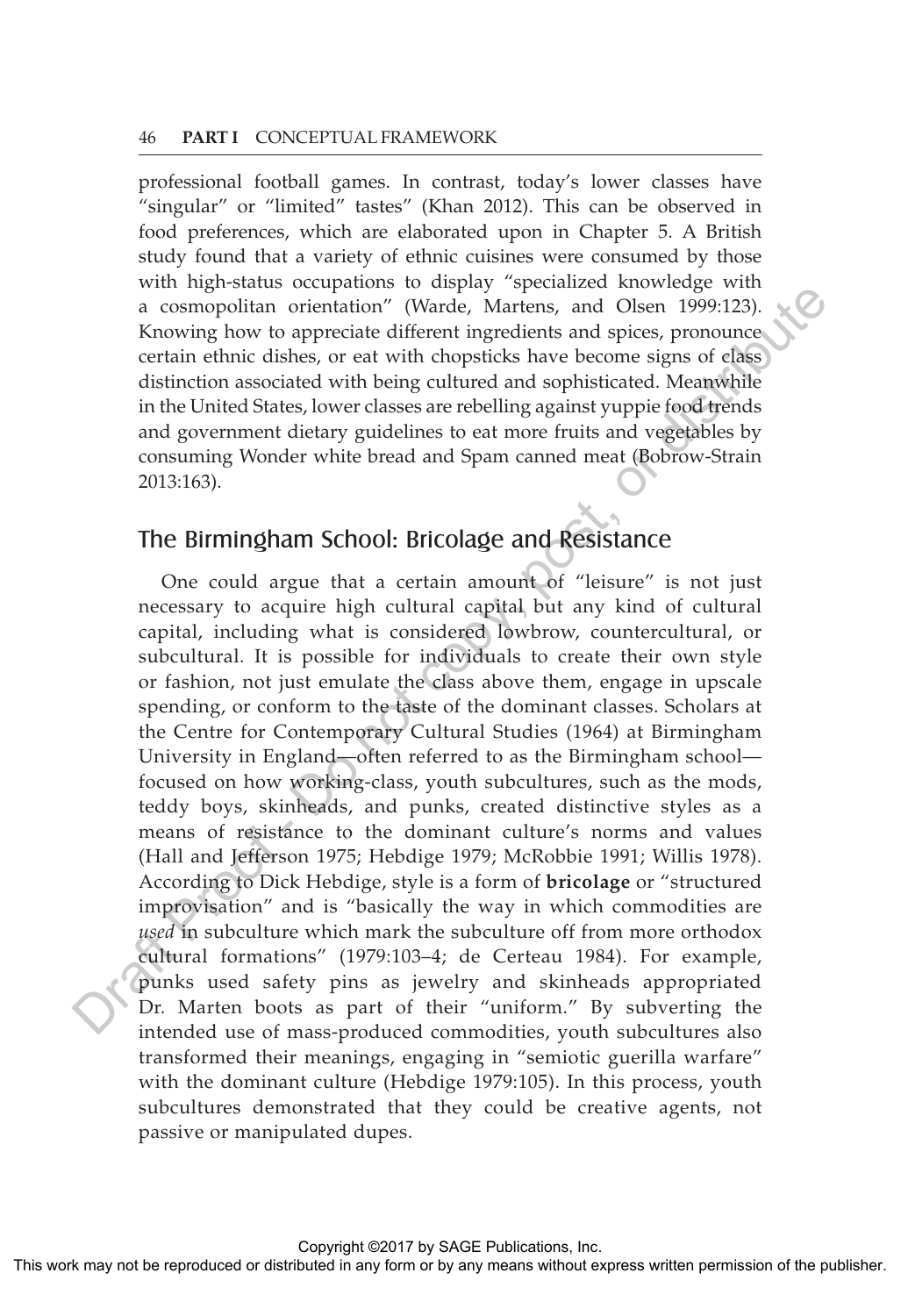professional football games. In contrast, today's lower classes have "singular" or "limited" tastes" (Khan 2012). This can be observed in food preferences, which are elaborated upon in Chapter 5. A British study found that a variety of ethnic cuisines were consumed by those with high-status occupations to display "specialized knowledge with a cosmopolitan orientation" (Warde, Martens, and Olsen 1999:123). Knowing how to appreciate different ingredients and spices, pronounce certain ethnic dishes, or eat with chopsticks have become signs of class distinction associated with being cultured and sophisticated. Meanwhile in the United States, lower classes are rebelling against yuppie food trends and government dietary guidelines to eat more fruits and vegetables by consuming Wonder white bread and Spam canned meat (Bobrow-Strain 2013:163).

#### The Birmingham School: Bricolage and Resistance

One could argue that a certain amount of "leisure" is not just necessary to acquire high cultural capital but any kind of cultural capital, including what is considered lowbrow, countercultural, or subcultural. It is possible for individuals to create their own style or fashion, not just emulate the class above them, engage in upscale spending, or conform to the taste of the dominant classes. Scholars at the Centre for Contemporary Cultural Studies (1964) at Birmingham University in England—often referred to as the Birmingham school focused on how working-class, youth subcultures, such as the mods, teddy boys, skinheads, and punks, created distinctive styles as a means of resistance to the dominant culture's norms and values (Hall and Jefferson 1975; Hebdige 1979; McRobbie 1991; Willis 1978). According to Dick Hebdige, style is a form of **bricolage** or "structured improvisation" and is "basically the way in which commodities are *used* in subculture which mark the subculture off from more orthodox cultural formations" (1979:103–4; de Certeau 1984). For example, punks used safety pins as jewelry and skinheads appropriated Dr. Marten boots as part of their "uniform." By subverting the intended use of mass-produced commodities, youth subcultures also transformed their meanings, engaging in "semiotic guerilla warfare" with the dominant culture (Hebdige 1979:105). In this process, youth subcultures demonstrated that they could be creative agents, not passive or manipulated dupes. Accorage controllation or (Ward). Marfens, and Olson, 1999-123)<br>
Krowing how to apprechabilited with the reproduced and sophistical Afferican and policies, promoting the<br>stributed in any form or distributed in any form or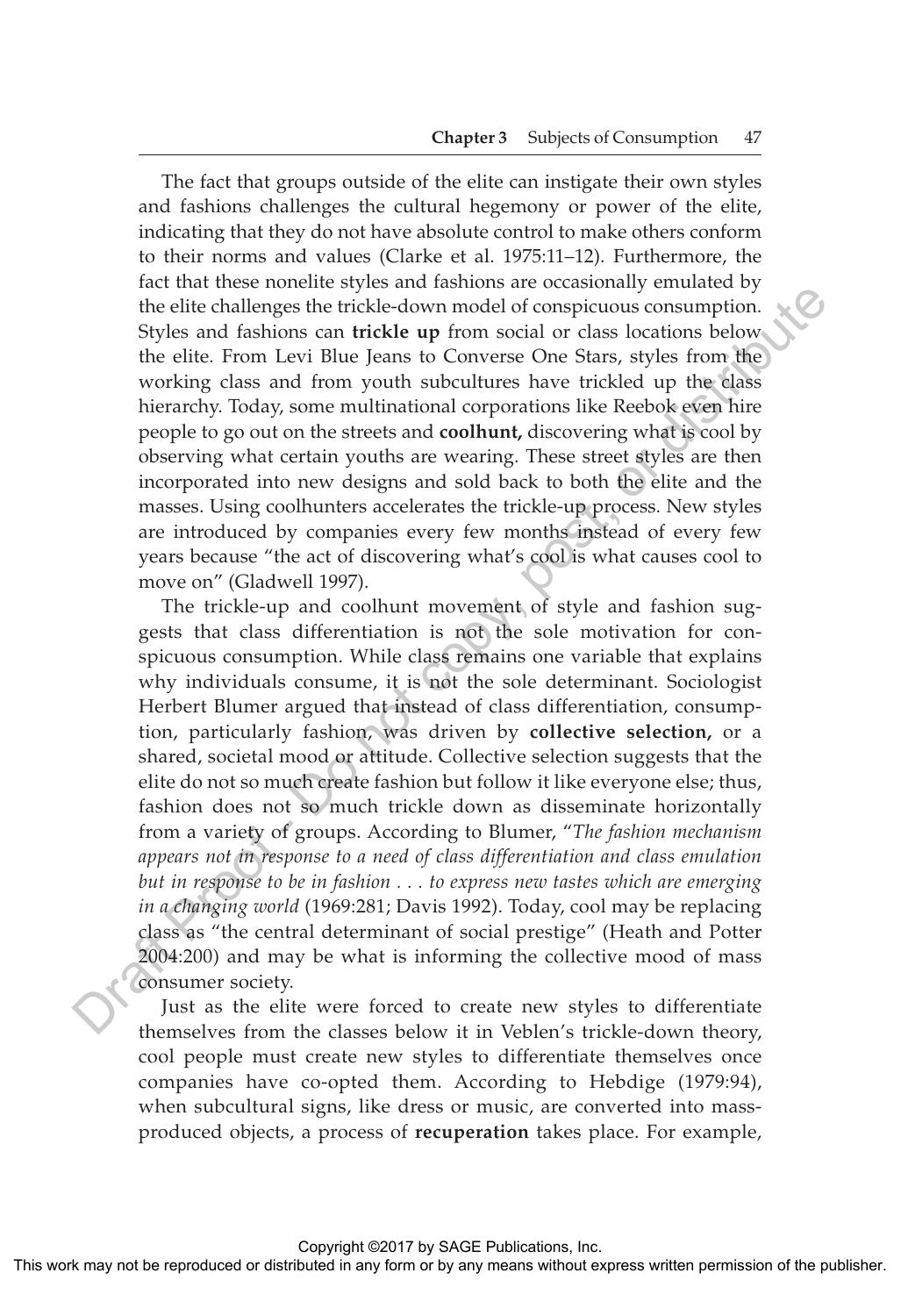The fact that groups outside of the elite can instigate their own styles and fashions challenges the cultural hegemony or power of the elite, indicating that they do not have absolute control to make others conform to their norms and values (Clarke et al. 1975:11–12). Furthermore, the fact that these nonelite styles and fashions are occasionally emulated by the elite challenges the trickle-down model of conspicuous consumption. Styles and fashions can **trickle up** from social or class locations below the elite. From Levi Blue Jeans to Converse One Stars, styles from the working class and from youth subcultures have trickled up the class hierarchy. Today, some multinational corporations like Reebok even hire people to go out on the streets and **coolhunt,** discovering what is cool by observing what certain youths are wearing. These street styles are then incorporated into new designs and sold back to both the elite and the masses. Using coolhunters accelerates the trickle-up process. New styles are introduced by companies every few months instead of every few years because "the act of discovering what's cool is what causes cool to move on" (Gladwell 1997).

The trickle-up and coolhunt movement of style and fashion suggests that class differentiation is not the sole motivation for conspicuous consumption. While class remains one variable that explains why individuals consume, it is not the sole determinant. Sociologist Herbert Blumer argued that instead of class differentiation, consumption, particularly fashion, was driven by **collective selection,** or a shared, societal mood or attitude. Collective selection suggests that the elite do not so much create fashion but follow it like everyone else; thus, fashion does not so much trickle down as disseminate horizontally from a variety of groups. According to Blumer, "*The fashion mechanism appears not in response to a need of class differentiation and class emulation but in response to be in fashion . . . to express new tastes which are emerging in a changing world* (1969:281; Davis 1992). Today, cool may be replacing class as "the central determinant of social prestige" (Heath and Potter 2004:200) and may be what is informing the collective mood of mass consumer society. the cluic challenges the risk-le-down model of conspicuous consumption<br>
Sples may not the reproduced or these location between the states with the difference of the risk-le-down model or distributed in the difference or d

Just as the elite were forced to create new styles to differentiate themselves from the classes below it in Veblen's trickle-down theory, cool people must create new styles to differentiate themselves once companies have co-opted them. According to Hebdige (1979:94), when subcultural signs, like dress or music, are converted into massproduced objects, a process of **recuperation** takes place. For example,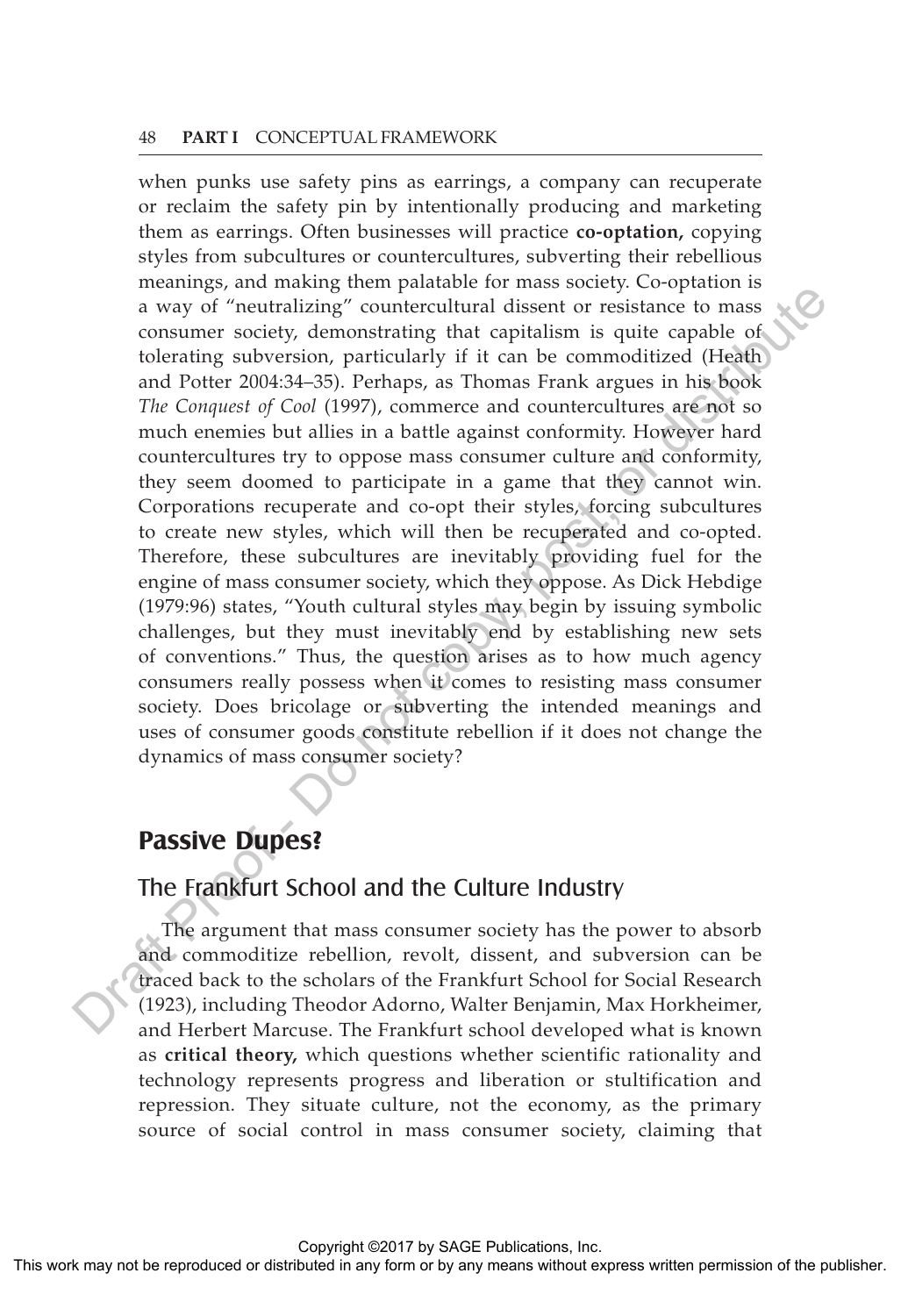when punks use safety pins as earrings, a company can recuperate or reclaim the safety pin by intentionally producing and marketing them as earrings. Often businesses will practice **co-optation,** copying styles from subcultures or countercultures, subverting their rebellious meanings, and making them palatable for mass society. Co-optation is a way of "neutralizing" countercultural dissent or resistance to mass consumer society, demonstrating that capitalism is quite capable of tolerating subversion, particularly if it can be commoditized (Heath and Potter 2004:34–35). Perhaps, as Thomas Frank argues in his book *The Conquest of Cool* (1997), commerce and countercultures are not so much enemies but allies in a battle against conformity. However hard countercultures try to oppose mass consumer culture and conformity, they seem doomed to participate in a game that they cannot win. Corporations recuperate and co-opt their styles, forcing subcultures to create new styles, which will then be recuperated and co-opted. Therefore, these subcultures are inevitably providing fuel for the engine of mass consumer society, which they oppose. As Dick Hebdige (1979:96) states, "Youth cultural styles may begin by issuing symbolic challenges, but they must inevitably end by establishing new sets of conventions." Thus, the question arises as to how much agency consumers really possess when it comes to resisting mass consumer society. Does bricolage or subverting the intended meanings and uses of consumer goods constitute rebellion if it does not change the dynamics of mass consumer society? Example of the reproduced or distribution in a quite consistent or the publisher soften any of the compact of the any form or by any means and the publisher and the publisher. This we have a more firmly any means the publ

# **Passive Dupes?**

# The Frankfurt School and the Culture Industry

The argument that mass consumer society has the power to absorb and commoditize rebellion, revolt, dissent, and subversion can be traced back to the scholars of the Frankfurt School for Social Research (1923), including Theodor Adorno, Walter Benjamin, Max Horkheimer, and Herbert Marcuse. The Frankfurt school developed what is known as **critical theory,** which questions whether scientific rationality and technology represents progress and liberation or stultification and repression. They situate culture, not the economy, as the primary source of social control in mass consumer society, claiming that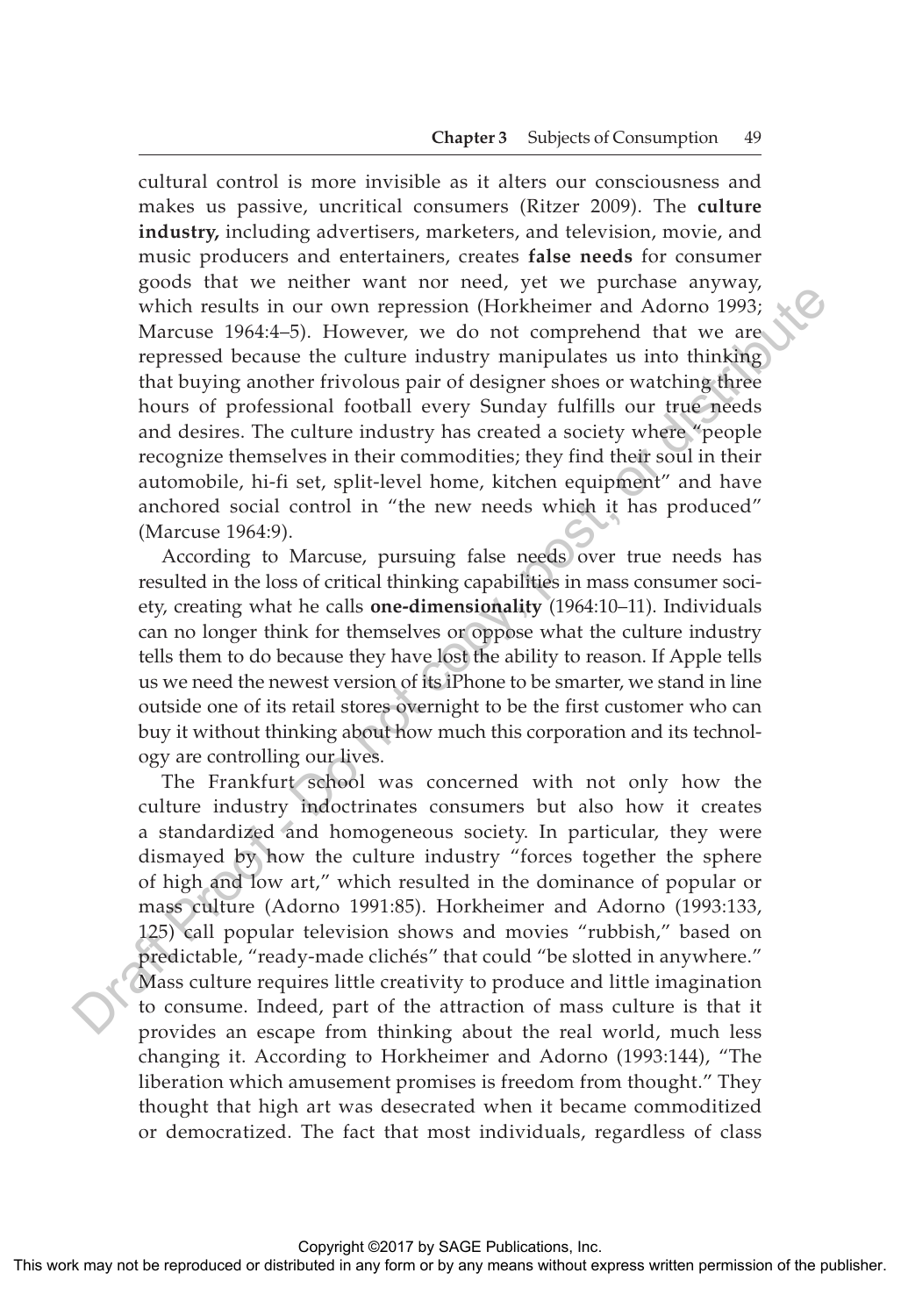cultural control is more invisible as it alters our consciousness and makes us passive, uncritical consumers (Ritzer 2009). The **culture industry,** including advertisers, marketers, and television, movie, and music producers and entertainers, creates **false needs** for consumer goods that we neither want nor need, yet we purchase anyway, which results in our own repression (Horkheimer and Adorno 1993; Marcuse 1964:4–5). However, we do not comprehend that we are repressed because the culture industry manipulates us into thinking that buying another frivolous pair of designer shoes or watching three hours of professional football every Sunday fulfills our true needs and desires. The culture industry has created a society where "people recognize themselves in their commodities; they find their soul in their automobile, hi-fi set, split-level home, kitchen equipment" and have anchored social control in "the new needs which it has produced" (Marcuse 1964:9).

According to Marcuse, pursuing false needs over true needs has resulted in the loss of critical thinking capabilities in mass consumer society, creating what he calls **one-dimensionality** (1964:10–11). Individuals can no longer think for themselves or oppose what the culture industry tells them to do because they have lost the ability to reason. If Apple tells us we need the newest version of its iPhone to be smarter, we stand in line outside one of its retail stores overnight to be the first customer who can buy it without thinking about how much this corporation and its technology are controlling our lives.

The Frankfurt school was concerned with not only how the culture industry indoctrinates consumers but also how it creates a standardized and homogeneous society. In particular, they were dismayed by how the culture industry "forces together the sphere of high and low art," which resulted in the dominance of popular or mass culture (Adorno 1991:85). Horkheimer and Adorno (1993:133, 125) call popular television shows and movies "rubbish," based on predictable, "ready-made clichés" that could "be slotted in anywhere." Mass culture requires little creativity to produce and little imagination to consume. Indeed, part of the attraction of mass culture is that it provides an escape from thinking about the real world, much less changing it. According to Horkheimer and Adorno (1993:144), "The liberation which amusement promises is freedom from thought." They thought that high art was desecrated when it became commoditized or democratized. The fact that most individuals, regardless of class Solidar consister in our composition. The publishering and Advantation in the represent beheavel, we distribute in the more permission of the publisher and the component of the publisher and the publisher any means beheav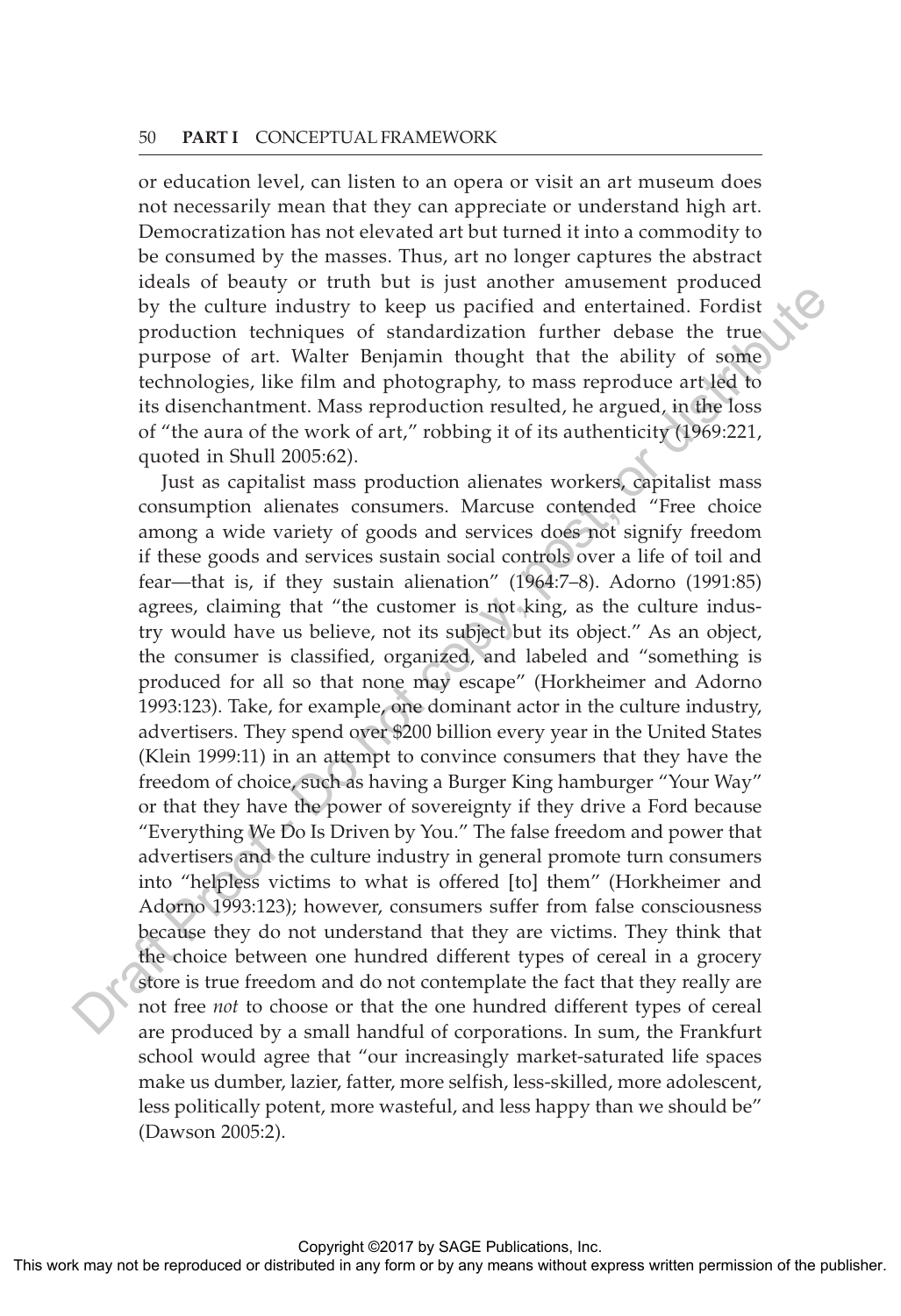or education level, can listen to an opera or visit an art museum does not necessarily mean that they can appreciate or understand high art. Democratization has not elevated art but turned it into a commodity to be consumed by the masses. Thus, art no longer captures the abstract ideals of beauty or truth but is just another amusement produced by the culture industry to keep us pacified and entertained. Fordist production techniques of standardization further debase the true purpose of art. Walter Benjamin thought that the ability of some technologies, like film and photography, to mass reproduce art led to its disenchantment. Mass reproduction resulted, he argued, in the loss of "the aura of the work of art," robbing it of its authenticity (1969:221, quoted in Shull 2005:62).

Just as capitalist mass production alienates workers, capitalist mass consumption alienates consumers. Marcuse contended "Free choice among a wide variety of goods and services does not signify freedom if these goods and services sustain social controls over a life of toil and fear—that is, if they sustain alienation" (1964:7–8). Adorno (1991:85) agrees, claiming that "the customer is not king, as the culture industry would have us believe, not its subject but its object." As an object, the consumer is classified, organized, and labeled and "something is produced for all so that none may escape" (Horkheimer and Adorno 1993:123). Take, for example, one dominant actor in the culture industry, advertisers. They spend over \$200 billion every year in the United States (Klein 1999:11) in an attempt to convince consumers that they have the freedom of choice, such as having a Burger King hamburger "Your Way" or that they have the power of sovereignty if they drive a Ford because "Everything We Do Is Driven by You." The false freedom and power that advertisers and the culture industry in general promote turn consumers into "helpless victims to what is offered [to] them" (Horkheimer and Adorno 1993:123); however, consumers suffer from false consciousness because they do not understand that they are victims. They think that the choice between one hundred different types of cereal in a grocery store is true freedom and do not contemplate the fact that they really are not free *not* to choose or that the one hundred different types of cereal are produced by a small handful of corporations. In sum, the Frankfurt school would agree that "our increasingly market-saturated life spaces make us dumber, lazier, fatter, more selfish, less-skilled, more adolescent, less politically potent, more wasteful, and less happy than we should be" (Dawson 2005:2). For that the rest may not be reproduced to the rest may be reproduced to the reproduced or distribution of the rest may propose or distribution the may propose to the fit with the function of the propose or distributed in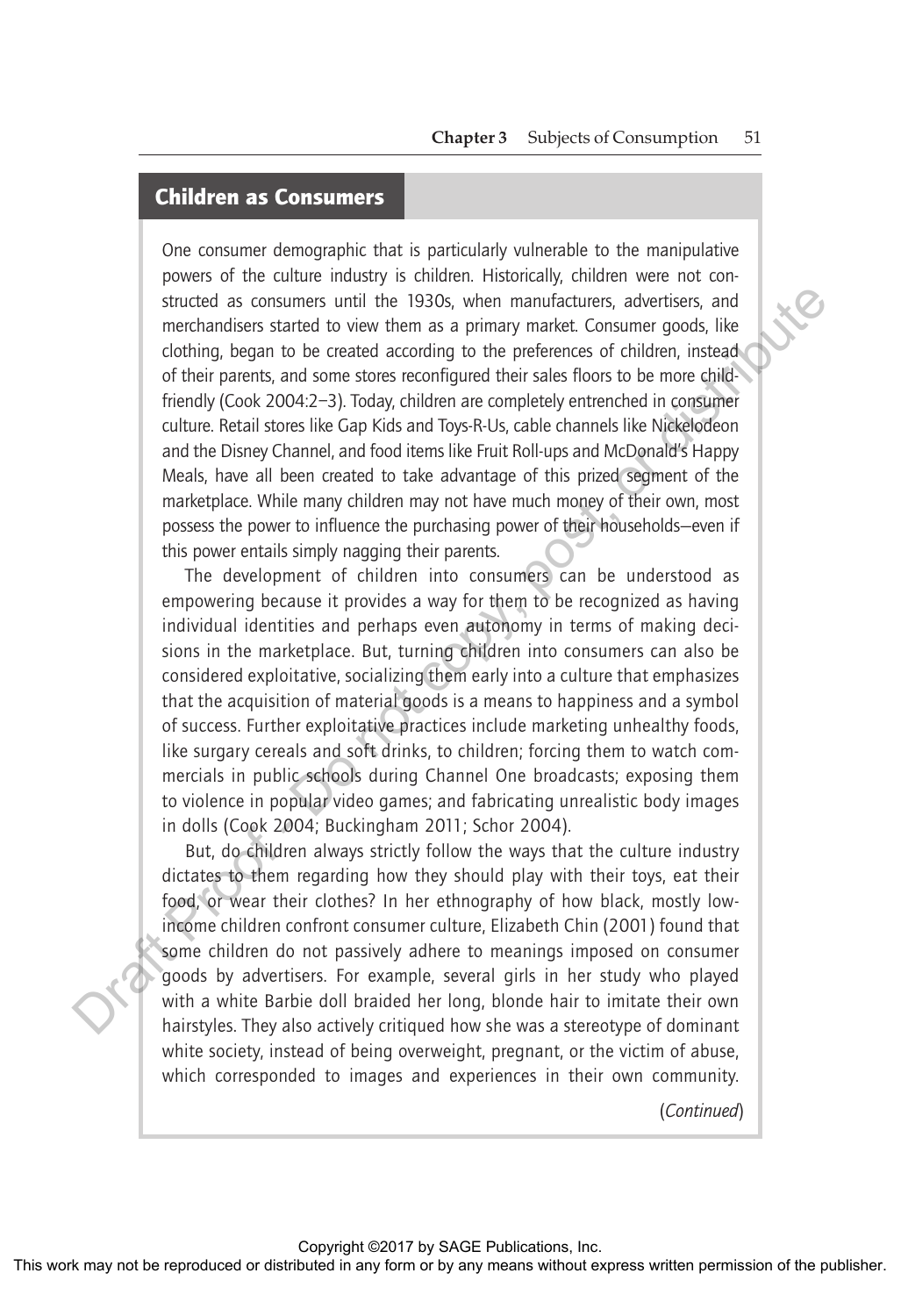#### Children as Consumers

One consumer demographic that is particularly vulnerable to the manipulative powers of the culture industry is children. Historically, children were not constructed as consumers until the 1930s, when manufacturers, advertisers, and merchandisers started to view them as a primary market. Consumer goods, like clothing, began to be created according to the preferences of children, instead of their parents, and some stores reconfigured their sales floors to be more childfriendly (Cook 2004:2–3). Today, children are completely entrenched in consumer culture. Retail stores like Gap Kids and Toys-R-Us, cable channels like Nickelodeon and the Disney Channel, and food items like Fruit Roll-ups and McDonald's Happy Meals, have all been created to take advantage of this prized segment of the marketplace. While many children may not have much money of their own, most possess the power to influence the purchasing power of their households—even if this power entails simply nagging their parents. The reproduced or the reproduced or the reproduced or distributed in any form or be equivalent any any means when  $\alpha$  and the publisher or by any means when the publisher. This develops to the constraint of the publisher

The development of children into consumers can be understood as empowering because it provides a way for them to be recognized as having individual identities and perhaps even autonomy in terms of making decisions in the marketplace. But, turning children into consumers can also be considered exploitative, socializing them early into a culture that emphasizes that the acquisition of material goods is a means to happiness and a symbol of success. Further exploitative practices include marketing unhealthy foods, like surgary cereals and soft drinks, to children; forcing them to watch commercials in public schools during Channel One broadcasts; exposing them to violence in popular video games; and fabricating unrealistic body images in dolls (Cook 2004; Buckingham 2011; Schor 2004).

But, do children always strictly follow the ways that the culture industry dictates to them regarding how they should play with their toys, eat their food, or wear their clothes? In her ethnography of how black, mostly lowincome children confront consumer culture, Elizabeth Chin (2001) found that some children do not passively adhere to meanings imposed on consumer goods by advertisers. For example, several girls in her study who played with a white Barbie doll braided her long, blonde hair to imitate their own hairstyles. They also actively critiqued how she was a stereotype of dominant white society, instead of being overweight, pregnant, or the victim of abuse, which corresponded to images and experiences in their own community.

(*Continued*)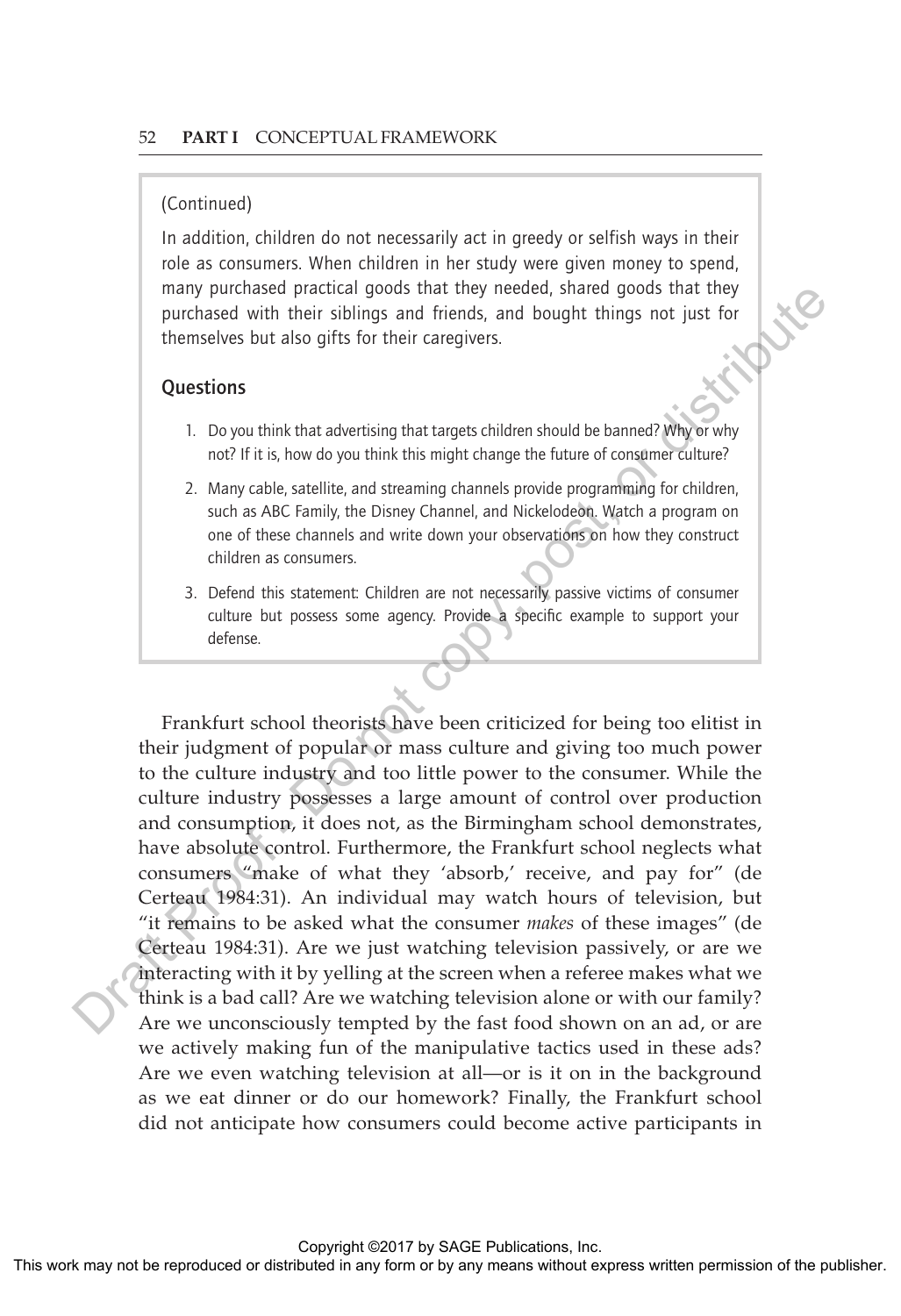#### (Continued)

In addition, children do not necessarily act in greedy or selfish ways in their role as consumers. When children in her study were given money to spend, many purchased practical goods that they needed, shared goods that they purchased with their siblings and friends, and bought things not just for themselves but also gifts for their caregivers.

#### **Questions**

- 1. Do you think that advertising that targets children should be banned? Why or why not? If it is, how do you think this might change the future of consumer culture?
- 2. Many cable, satellite, and streaming channels provide programming for children, such as ABC Family, the Disney Channel, and Nickelodeon. Watch a program on one of these channels and write down your observations on how they construct children as consumers.
- 3. Defend this statement: Children are not necessarily passive victims of consumer culture but possess some agency. Provide a specific example to support your defense.

Frankfurt school theorists have been criticized for being too elitist in their judgment of popular or mass culture and giving too much power to the culture industry and too little power to the consumer. While the culture industry possesses a large amount of control over production and consumption, it does not, as the Birmingham school demonstrates, have absolute control. Furthermore, the Frankfurt school neglects what consumers "make of what they 'absorb,' receive, and pay for" (de Certeau 1984:31). An individual may watch hours of television, but "it remains to be asked what the consumer *makes* of these images" (de Certeau 1984:31). Are we just watching television passively, or are we interacting with it by yelling at the screen when a referee makes what we think is a bad call? Are we watching television alone or with our family? Are we unconsciously tempted by the fast food shown on an ad, or are we actively making fun of the manipulative tactics used in these ads? Are we even watching television at all—or is it on in the background as we eat dinner or do our homework? Finally, the Frankfurt school did not anticipate how consumers could become active participants in The publisherial space of the representation of the representation of the publisherial space of the publisherial or distributed in any means when the publisherial or distributed in a publisherial or distributed in a publi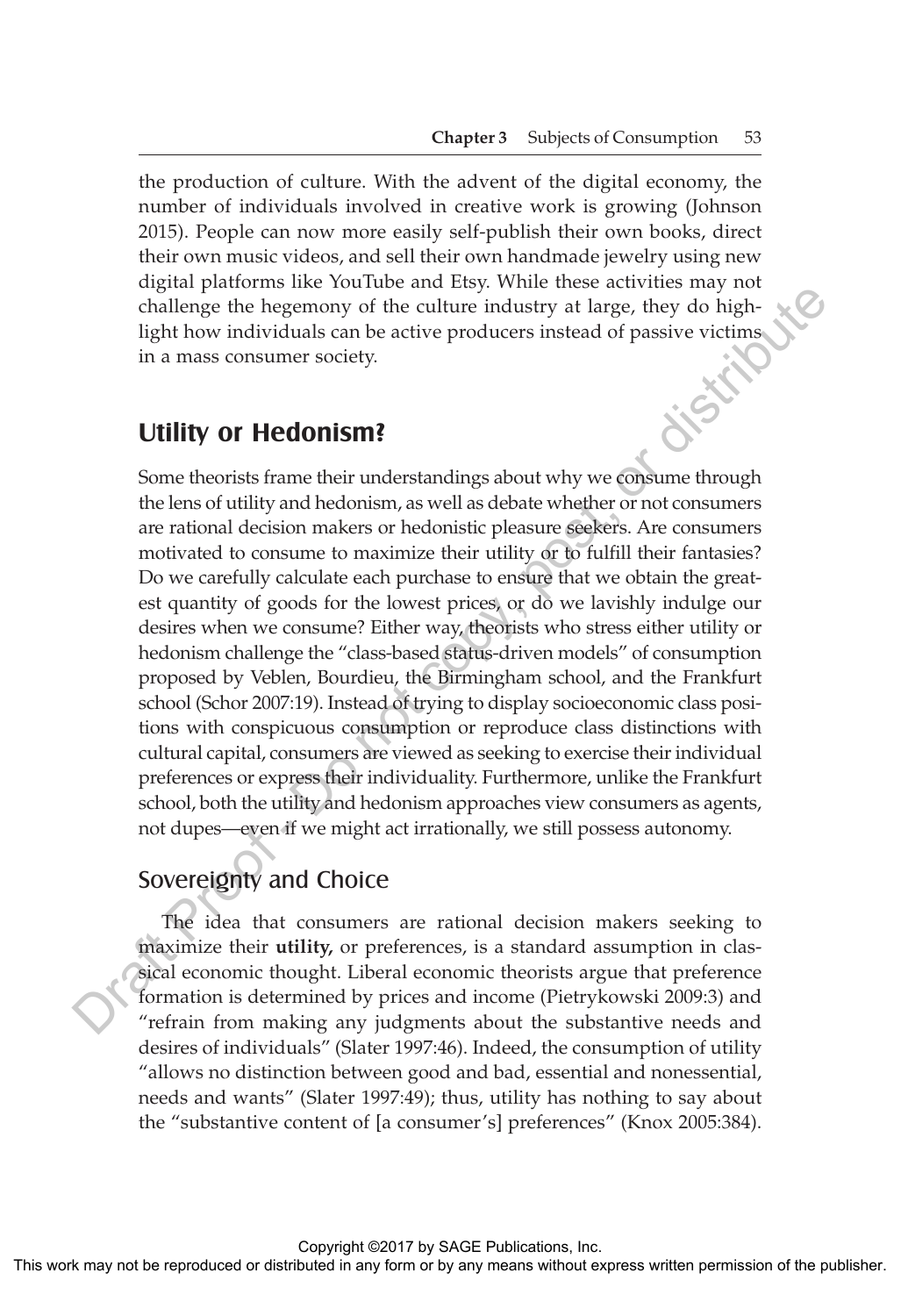the production of culture. With the advent of the digital economy, the number of individuals involved in creative work is growing (Johnson 2015). People can now more easily self-publish their own books, direct their own music videos, and sell their own handmade jewelry using new digital platforms like YouTube and Etsy. While these activities may not challenge the hegemony of the culture industry at large, they do highlight how individuals can be active producers instead of passive victims in a mass consumer society.

# **Utility or Hedonism?**

Some theorists frame their understandings about why we consume through the lens of utility and hedonism, as well as debate whether or not consumers are rational decision makers or hedonistic pleasure seekers. Are consumers motivated to consume to maximize their utility or to fulfill their fantasies? Do we carefully calculate each purchase to ensure that we obtain the greatest quantity of goods for the lowest prices, or do we lavishly indulge our desires when we consume? Either way, theorists who stress either utility or hedonism challenge the "class-based status-driven models" of consumption proposed by Veblen, Bourdieu, the Birmingham school, and the Frankfurt school (Schor 2007:19). Instead of trying to display socioeconomic class positions with conspicuous consumption or reproduce class distinctions with cultural capital, consumers are viewed as seeking to exercise their individual preferences or express their individuality. Furthermore, unlike the Frankfurt school, both the utility and hedonism approaches view consumers as agents, not dupes—even if we might act irrationally, we still possess autonomy. Challenge the hegemony of the culture industry at large, they do high-<br>light how individuals can be earthe producers instead of passive victims<br>in an ansas consumer society.<br>In an ansas consumer society,<br> $\blacksquare$ <br>
This work

# Sovereignty and Choice

The idea that consumers are rational decision makers seeking to maximize their **utility,** or preferences, is a standard assumption in classical economic thought. Liberal economic theorists argue that preference formation is determined by prices and income (Pietrykowski 2009:3) and "refrain from making any judgments about the substantive needs and desires of individuals" (Slater 1997:46). Indeed, the consumption of utility "allows no distinction between good and bad, essential and nonessential, needs and wants" (Slater 1997:49); thus, utility has nothing to say about the "substantive content of [a consumer's] preferences" (Knox 2005:384).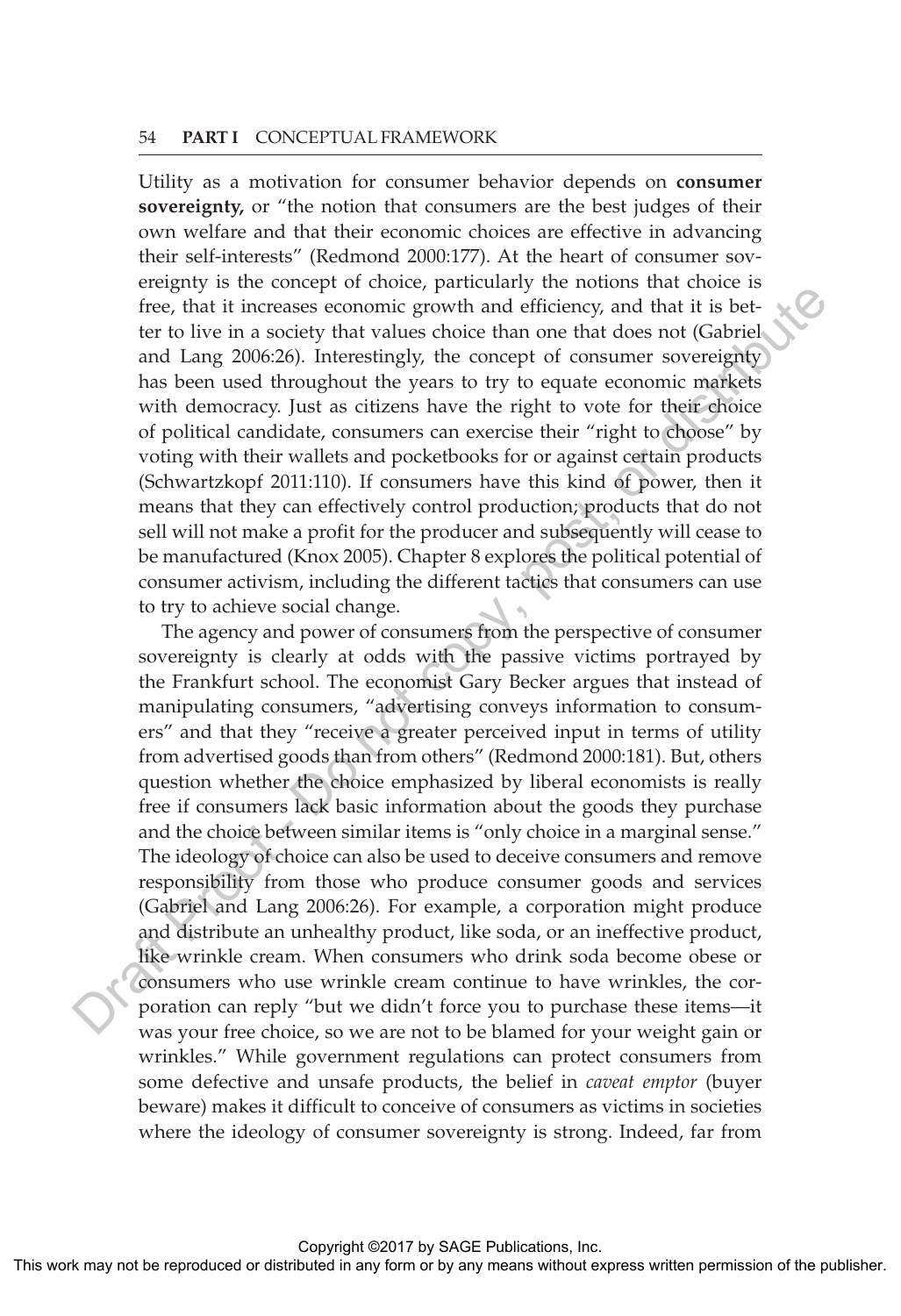Utility as a motivation for consumer behavior depends on **consumer sovereignty,** or "the notion that consumers are the best judges of their own welfare and that their economic choices are effective in advancing their self-interests" (Redmond 2000:177). At the heart of consumer sovereignty is the concept of choice, particularly the notions that choice is free, that it increases economic growth and efficiency, and that it is better to live in a society that values choice than one that does not (Gabriel and Lang 2006:26). Interestingly, the concept of consumer sovereignty has been used throughout the years to try to equate economic markets with democracy. Just as citizens have the right to vote for their choice of political candidate, consumers can exercise their "right to choose" by voting with their wallets and pocketbooks for or against certain products (Schwartzkopf 2011:110). If consumers have this kind of power, then it means that they can effectively control production; products that do not sell will not make a profit for the producer and subsequently will cease to be manufactured (Knox 2005). Chapter 8 explores the political potential of consumer activism, including the different tactics that consumers can use to try to achieve social change.

The agency and power of consumers from the perspective of consumer sovereignty is clearly at odds with the passive victims portrayed by the Frankfurt school. The economist Gary Becker argues that instead of manipulating consumers, "advertising conveys information to consumers" and that they "receive a greater perceived input in terms of utility from advertised goods than from others" (Redmond 2000:181). But, others question whether the choice emphasized by liberal economists is really free if consumers lack basic information about the goods they purchase and the choice between similar items is "only choice in a marginal sense." The ideology of choice can also be used to deceive consumers and remove responsibility from those who produce consumer goods and services (Gabriel and Lang 2006:26). For example, a corporation might produce and distribute an unhealthy product, like soda, or an ineffective product, like wrinkle cream. When consumers who drink soda become obese or consumers who use wrinkle cream continue to have wrinkles, the corporation can reply "but we didn't force you to purchase these items—it was your free choice, so we are not to be blamed for your weight gain or wrinkles." While government regulations can protect consumers from some defective and unsafe products, the belief in *caveat emptor* (buyer beware) makes it difficult to conceive of consumers as victims in societies where the ideology of consumer sovereignty is strong. Indeed, far from The interest may not be reproduced that it is be reproduced that the line or distributed by the content or distributed in a scale that distributed the rest of contents with the publisher that the publisher that distributed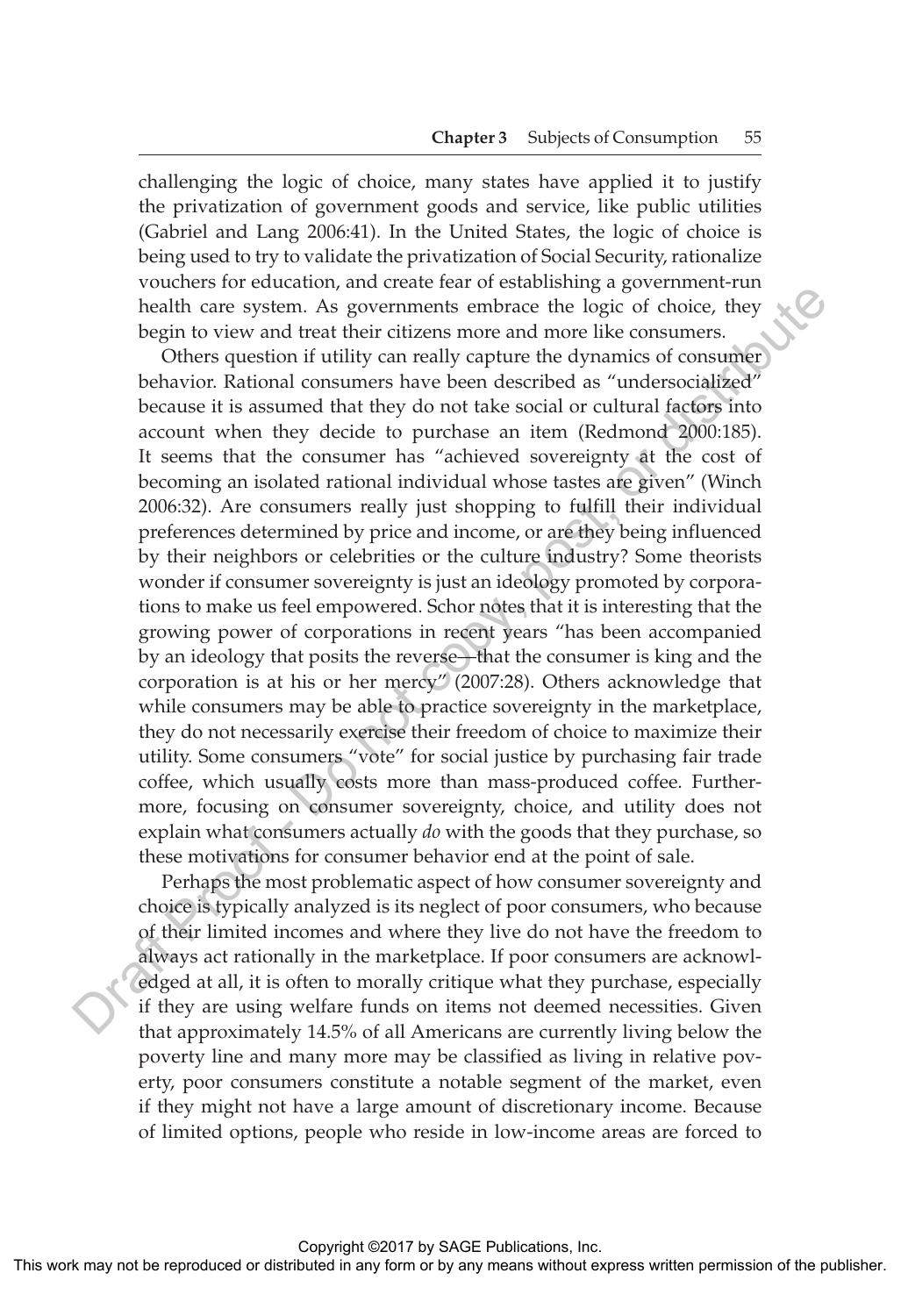challenging the logic of choice, many states have applied it to justify the privatization of government goods and service, like public utilities (Gabriel and Lang 2006:41). In the United States, the logic of choice is being used to try to validate the privatization of Social Security, rationalize vouchers for education, and create fear of establishing a government-run health care system. As governments embrace the logic of choice, they begin to view and treat their citizens more and more like consumers.

Others question if utility can really capture the dynamics of consumer behavior. Rational consumers have been described as "undersocialized" because it is assumed that they do not take social or cultural factors into account when they decide to purchase an item (Redmond 2000:185). It seems that the consumer has "achieved sovereignty at the cost of becoming an isolated rational individual whose tastes are given" (Winch 2006:32). Are consumers really just shopping to fulfill their individual preferences determined by price and income, or are they being influenced by their neighbors or celebrities or the culture industry? Some theorists wonder if consumer sovereignty is just an ideology promoted by corporations to make us feel empowered. Schor notes that it is interesting that the growing power of corporations in recent years "has been accompanied by an ideology that posits the reverse—that the consumer is king and the corporation is at his or her mercy" (2007:28). Others acknowledge that while consumers may be able to practice sovereignty in the marketplace, they do not necessarily exercise their freedom of choice to maximize their utility. Some consumers "vote" for social justice by purchasing fair trade coffee, which usually costs more than mass-produced coffee. Furthermore, focusing on consumer sovereignty, choice, and utility does not explain what consumers actually *do* with the goods that they purchase, so these motivations for consumer behavior end at the point of sale. bealth care system. As sovernments enthreated the laggle of choice, they begin to the ward that the the traitions more and note that enter the publisher. Rational constrained in the fully control of the publisher. The pot

Perhaps the most problematic aspect of how consumer sovereignty and choice is typically analyzed is its neglect of poor consumers, who because of their limited incomes and where they live do not have the freedom to always act rationally in the marketplace. If poor consumers are acknowledged at all, it is often to morally critique what they purchase, especially if they are using welfare funds on items not deemed necessities. Given that approximately 14.5% of all Americans are currently living below the poverty line and many more may be classified as living in relative poverty, poor consumers constitute a notable segment of the market, even if they might not have a large amount of discretionary income. Because of limited options, people who reside in low-income areas are forced to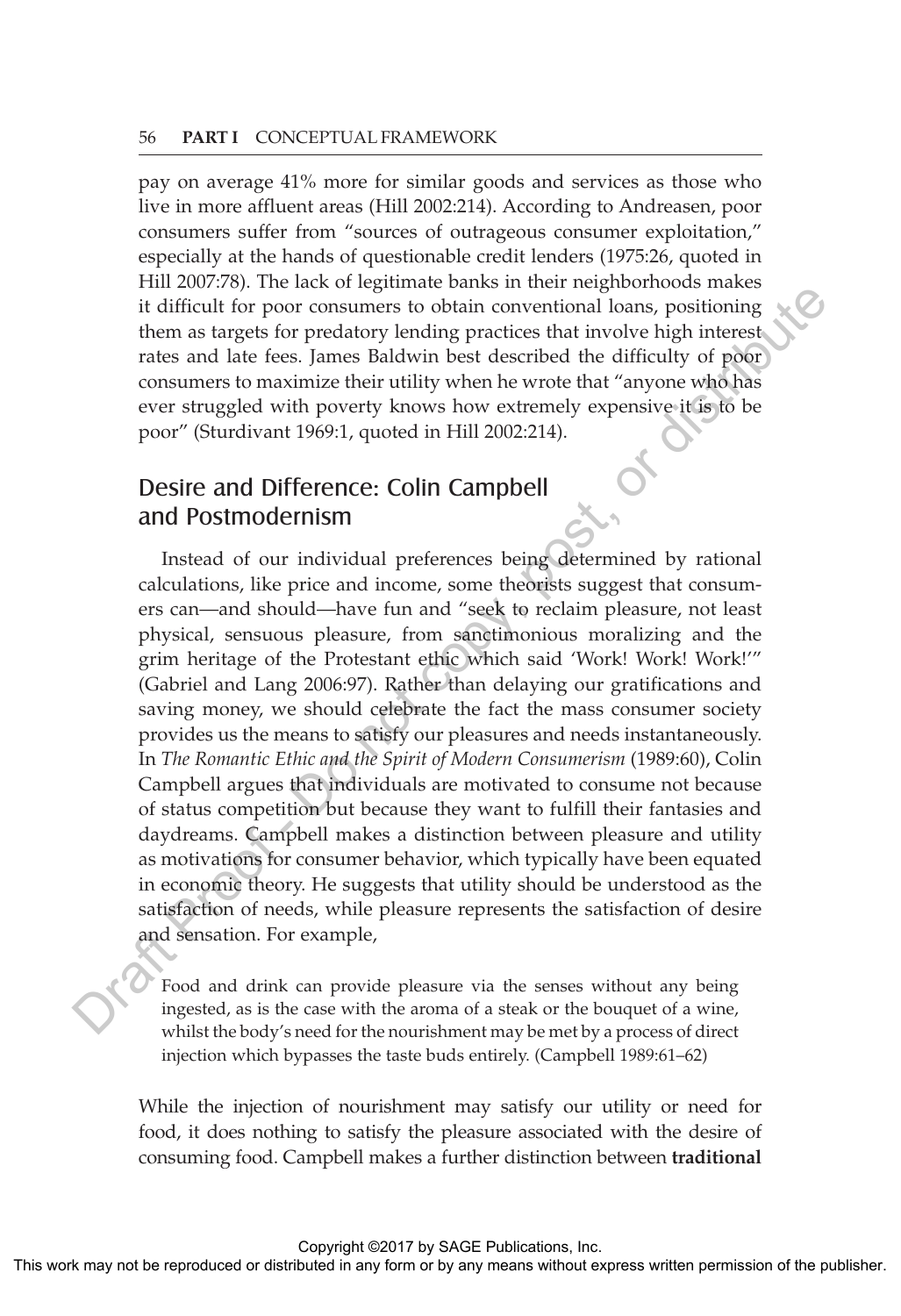pay on average 41% more for similar goods and services as those who live in more affluent areas (Hill 2002:214). According to Andreasen, poor consumers suffer from "sources of outrageous consumer exploitation," especially at the hands of questionable credit lenders (1975:26, quoted in Hill 2007:78). The lack of legitimate banks in their neighborhoods makes it difficult for poor consumers to obtain conventional loans, positioning them as targets for predatory lending practices that involve high interest rates and late fees. James Baldwin best described the difficulty of poor consumers to maximize their utility when he wrote that "anyone who has ever struggled with poverty knows how extremely expensive it is to be poor" (Sturdivant 1969:1, quoted in Hill 2002:214).

# Desire and Difference: Colin Campbell and Postmodernism

Instead of our individual preferences being determined by rational calculations, like price and income, some theorists suggest that consumers can—and should—have fun and "seek to reclaim pleasure, not least physical, sensuous pleasure, from sanctimonious moralizing and the grim heritage of the Protestant ethic which said 'Work! Work! Work!'" (Gabriel and Lang 2006:97). Rather than delaying our gratifications and saving money, we should celebrate the fact the mass consumer society provides us the means to satisfy our pleasures and needs instantaneously. In *The Romantic Ethic and the Spirit of Modern Consumerism* (1989:60), Colin Campbell argues that individuals are motivated to consume not because of status competition but because they want to fulfill their fantasies and daydreams. Campbell makes a distinction between pleasure and utility as motivations for consumer behavior, which typically have been equated in economic theory. He suggests that utility should be understood as the satisfaction of needs, while pleasure represents the satisfaction of desire and sensation. For example, The difficult of powercoscure to obtain conventional bones, positioning when as target for predatany the<br>dimension distributed in the difficult of place rest or the publisher in<br>the same form or busines with the difficult

Food and drink can provide pleasure via the senses without any being ingested, as is the case with the aroma of a steak or the bouquet of a wine, whilst the body's need for the nourishment may be met by a process of direct injection which bypasses the taste buds entirely. (Campbell 1989:61–62)

While the injection of nourishment may satisfy our utility or need for food, it does nothing to satisfy the pleasure associated with the desire of consuming food. Campbell makes a further distinction between **traditional**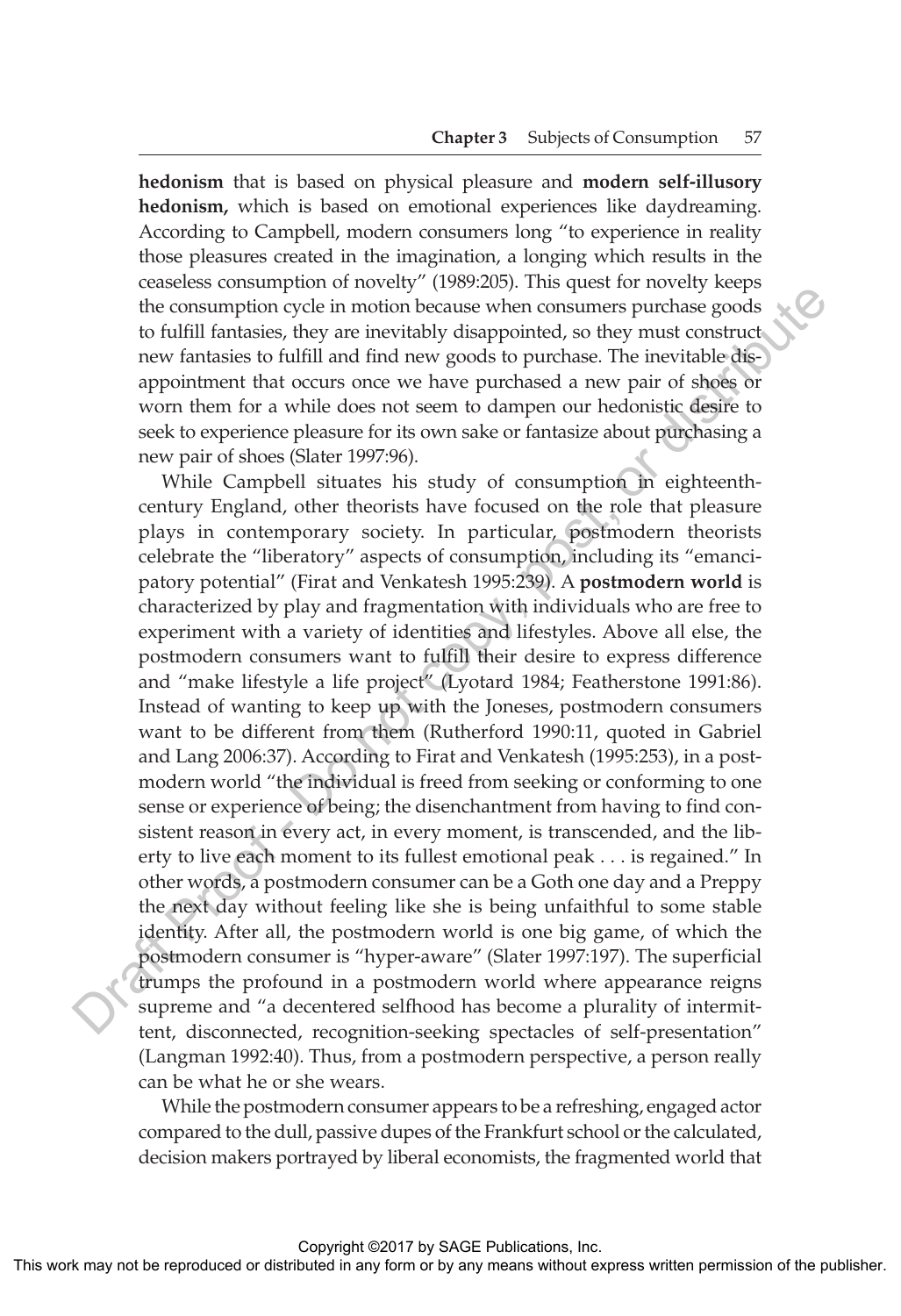**hedonism** that is based on physical pleasure and **modern self-illusory hedonism,** which is based on emotional experiences like daydreaming. According to Campbell, modern consumers long "to experience in reality those pleasures created in the imagination, a longing which results in the ceaseless consumption of novelty" (1989:205). This quest for novelty keeps the consumption cycle in motion because when consumers purchase goods to fulfill fantasies, they are inevitably disappointed, so they must construct new fantasies to fulfill and find new goods to purchase. The inevitable disappointment that occurs once we have purchased a new pair of shoes or worn them for a while does not seem to dampen our hedonistic desire to seek to experience pleasure for its own sake or fantasize about purchasing a new pair of shoes (Slater 1997:96).

While Campbell situates his study of consumption in eighteenthcentury England, other theorists have focused on the role that pleasure plays in contemporary society. In particular, postmodern theorists celebrate the "liberatory" aspects of consumption, including its "emancipatory potential" (Firat and Venkatesh 1995:239). A **postmodern world** is characterized by play and fragmentation with individuals who are free to experiment with a variety of identities and lifestyles. Above all else, the postmodern consumers want to fulfill their desire to express difference and "make lifestyle a life project" (Lyotard 1984; Featherstone 1991:86). Instead of wanting to keep up with the Joneses, postmodern consumers want to be different from them (Rutherford 1990:11, quoted in Gabriel and Lang 2006:37). According to Firat and Venkatesh (1995:253), in a postmodern world "the individual is freed from seeking or conforming to one sense or experience of being; the disenchantment from having to find consistent reason in every act, in every moment, is transcended, and the liberty to live each moment to its fullest emotional peak . . . is regained." In other words, a postmodern consumer can be a Goth one day and a Preppy the next day without feeling like she is being unfaithful to some stable identity. After all, the postmodern world is one big game, of which the postmodern consumer is "hyper-aware" (Slater 1997:197). The superficial trumps the profound in a postmodern world where appearance reigns supreme and "a decentered selfhood has become a plurality of intermittent, disconnected, recognition-seeking spectacles of self-presentation" (Langman 1992:40). Thus, from a postmodern perspective, a person really can be what he or she wears. the consumption evolving the rin motion becomes when conduced a model to the Bill materials of the publisher and the reproduced in any produced angle permission of the publisher and the publisher and the publisher. The mee

While the postmodern consumer appears to be a refreshing, engaged actor compared to the dull, passive dupes of the Frankfurt school or the calculated, decision makers portrayed by liberal economists, the fragmented world that